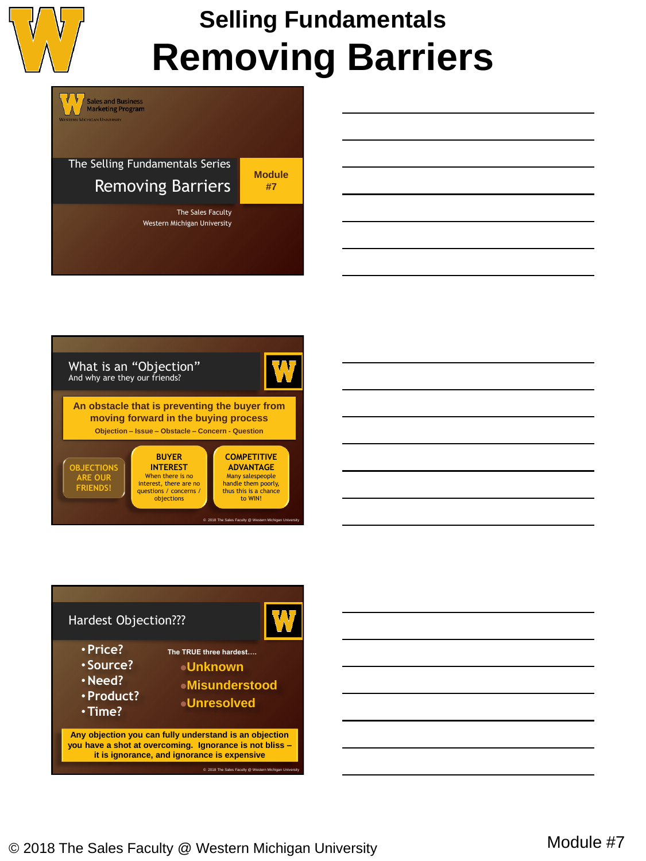

The Selling Fundamentals Series Removing Barriers

W

**Sales and Business<br>Marketing Program** 

**Module #7**

The Sales Faculty Western Michigan University





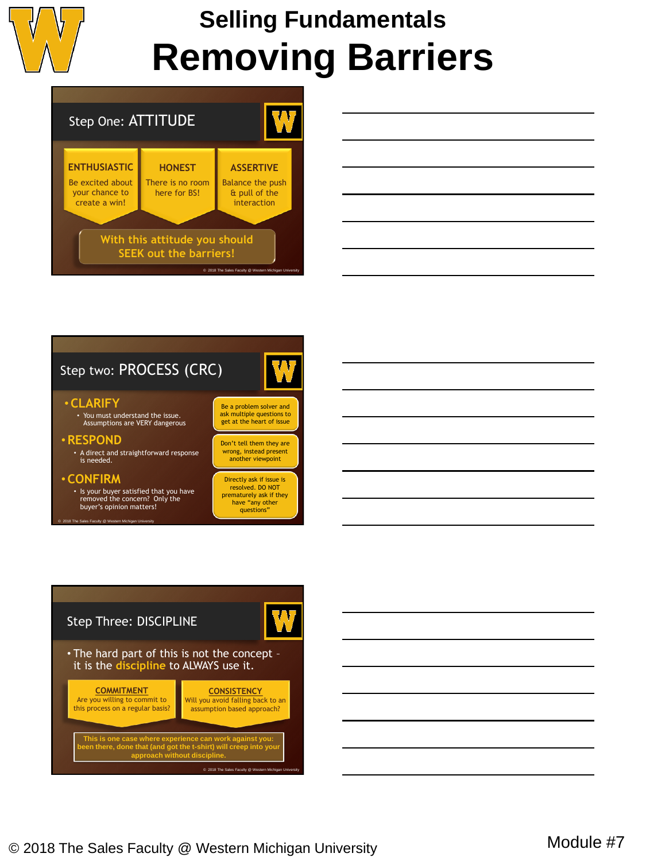

## **Selling Fundamentals Removing Barriers**



| <u> 1989 - Johann Stoff, amerikansk politiker (d. 1989)</u>                                                           |  |  |
|-----------------------------------------------------------------------------------------------------------------------|--|--|
| <u> 1989 - Johann Stoff, deutscher Stoff, der Stoff, der Stoff, der Stoff, der Stoff, der Stoff, der Stoff, der S</u> |  |  |
| <u> 1989 - Johann Barbara, martxa alemaniar argamento este alemaniar alemaniar alemaniar alemaniar alemaniar al</u>   |  |  |
|                                                                                                                       |  |  |
| <u> 1989 - Johann Stein, marwolaethau a bhann an t-Amhair an t-Amhair an t-Amhair an t-Amhair an t-Amhair an t-A</u>  |  |  |
|                                                                                                                       |  |  |